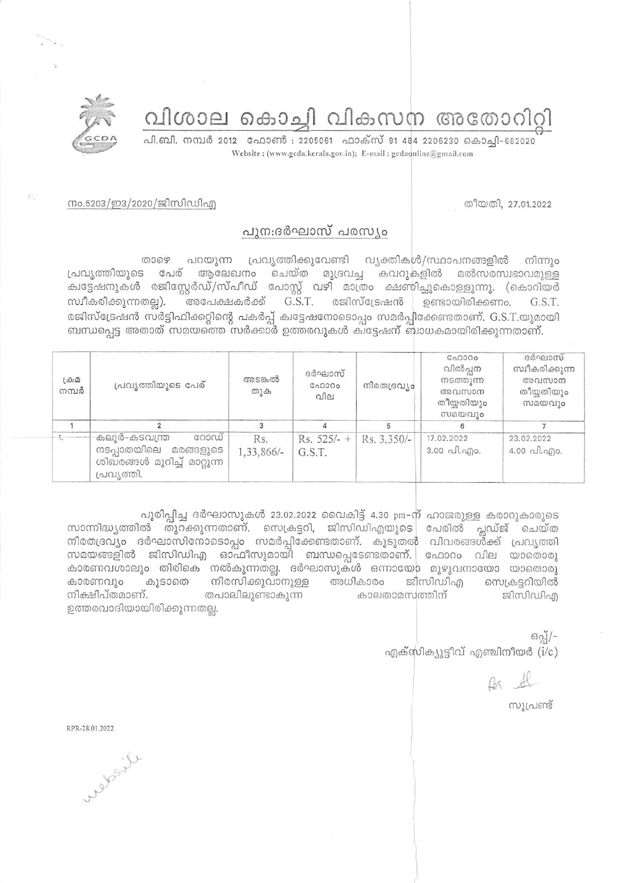## വിശാല കൊച്ചി വികസന അതോറിറ്റി

പി.ബി. നമ്പർ 2012 ഫോൺ : 2205061 ഫാക്സ് 91 484 2206230 കൊച്ചി-682020 Website: (www.gcda.kerala.gov.in); E-mail: gcdaonline@gmail.com



തീയതി, 27.01.2022

## നം.5203/ഇ3/2020/ജിസിഡിഎ

## പുനഃദർഘാസ് പരസ്യം

சை പറയുന്ന പ്രവൃത്തിക്കുവേണ്ടി വ്യക്തികൾ/സ്ഥാപനങ്ങളിൽ നിന്നും പ്രവൃത്തിയുടെ പേര് ആലേഖനം ചെയ്ത മുദ്രവച്ച കവറുകളിൽ മൽസരസ്വഭാവമുള്ള ക്വട്ടേഷനുകൾ രജിസ്റ്റേർഡ്/സ്പീഡ് പോസ്റ്റ് വഴി മാത്രം ക്ഷണിച്ചുകൊള്ളുന്നു. (കൊറിയർ അപേക്ഷകർക്ക്  $G.S.T.$  രജിസ്ട്രേഷൻ ഉണ്ടായിരിക്കണം. സ്ഥീകരിക്കുന്നതല്ല). G.S.T. രജിസ്ട്രേഷൻ സർട്ടിഫിക്കറ്റിന്റെ പകർപ്പ് കിട്ടേഷനോടൊപ്പം സമർപ്പിക്കേണ്ടതാണ്. G.S.T.യുമായി ബന്ധപ്പെട്ട അതാത് സമയത്തെ സർക്കാർ ഉത്തരവുകൾ കിട്ടേഷന് ബാധകമായിരിക്കുന്നതാണ്.

| $L \oplus \Omega$<br>നമ്പർ | പ്രവ്യത്തിയുടെ പേര്                                                                          | അടങ്കൽ<br>തുക     | ദർഘാസ്<br>GAD000<br>വില                 | നിരതദ്രവ്യം | GAD000<br>വിൽപ്പന<br>നടത്തുന്ന<br>അവസാന<br>തീയ്യതിയും<br>സമയവും | ദർഘാസ്<br>സ്വീകരിക്കുന്ന<br>അവസാന<br>തീയ്യതിയും<br>സമയവും |
|----------------------------|----------------------------------------------------------------------------------------------|-------------------|-----------------------------------------|-------------|-----------------------------------------------------------------|-----------------------------------------------------------|
|                            |                                                                                              |                   |                                         |             |                                                                 |                                                           |
|                            | കലൂർ-കടവന്ത്ര<br>റോഡ്<br>നടപ്പാതയിലെ മരങ്ങളുടെ<br>ശിഖരങ്ങൾ മുറിച്ച് മാറ്റുന്ന<br>പ്രവ്യത്തി. | Rs.<br>1,33,866/- | Rs. $525/-$ +   Rs. $3.350/-$<br>G.S.T. |             | 17.02.2022<br>3.00 പി.എം.                                       | 23.02.2022<br>$4.00 \text{ all.}$ ngo.                    |

പൂരിപ്പിച്ച ദർഘാസുകൾ 23.02.2022 വൈകിട്ട് 4.30 pm-ന് ഹാജരുള്ള കരാറുകാരുടെ സാന്നിദ്ധ്യത്തിൽ തുറക്കുന്നതാണ്. സെക്രട്ടറി, ജിസിഡിഎയുടെ പേരിൽ പ്ലഡ്ജ് ചെയ്ത നിരതദ്രവ്യം ദർഘാസിനോടൊപ്പം സമർപ്പിക്കേണ്ടതാണ്. കൂടുതൽ വിവരങ്ങൾക്ക് പ്രവൃത്തി സമയങ്ങളിൽ ജിസിഡിഎ ഓഫീസുമായി ബന്ധപ്പെടേണ്ടതാണ്. ഫോറം വില യാതൊരു കാരണവശാലും തിരികെ നൽകുന്നതല്ല. ദർഘാസുകൾ ഒന്നായോ മുഴുവനായോ യാതൊരു നിരസിക്കുവാനുള്ള അധികാരം ജ്ദിസിഡിഎ കാരണവും കൂടാതെ സെക്രട്ടറിയിൽ നിക്ഷിപ്തമാണ്. തപാലിലുണ്ടാകുന്ന കാലതാമസത്തിന് ജിസിഡിഎ ഉത്തരവാദിയായിരിക്കുന്നതല്ല.

> $690/$ -എക്സിക്യൂട്ടീവ് എഞ്ചിനീയർ (i/c)

സൂപ്രണ്ട്

RPR-28.01.2022

elian et